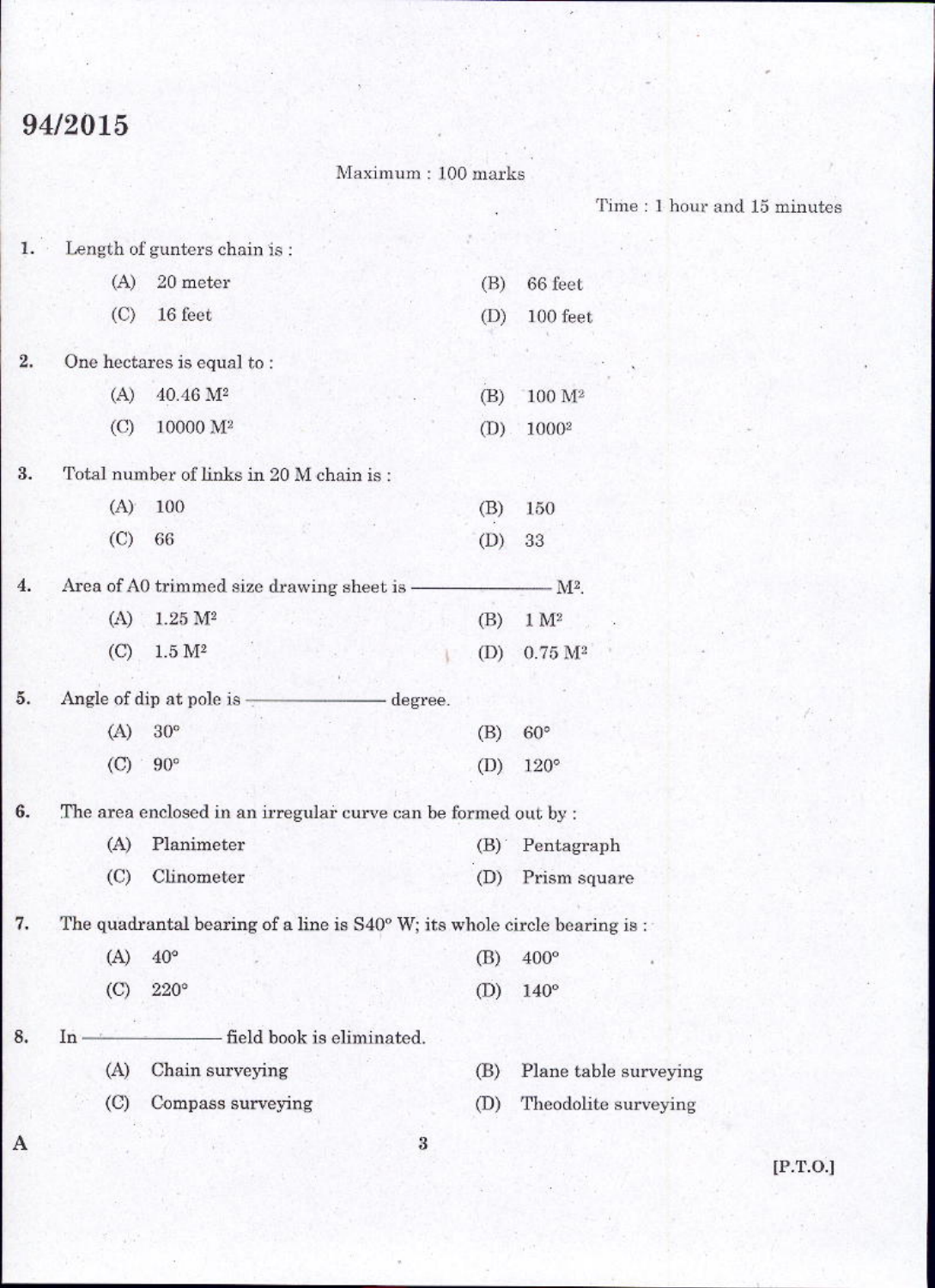## 94/2015

## $Maximum: 100 marks$

 $\mathrm{Time}:1$  hour and  $15$  minutes

| 1. |                             | Length of gunters chain is:                                                       |         |                       |
|----|-----------------------------|-----------------------------------------------------------------------------------|---------|-----------------------|
|    | (A)                         | 20 meter                                                                          | (B)     | 66 feet               |
|    | $\circ$                     | 16 feet                                                                           | (D)     | 100 feet              |
| 2. |                             | One hectares is equal to:                                                         |         |                       |
|    | (A)                         | 40.46 M <sup>2</sup>                                                              | (B)     | 100 M <sup>2</sup>    |
|    | $\left($ C)                 | 10000 M <sup>2</sup>                                                              | (D)     | 10002                 |
| 3. |                             | Total number of links in 20 M chain is:                                           |         |                       |
|    | (A)                         | 100                                                                               | (B)     | 150                   |
|    | (C)                         | 66                                                                                | (D)     | 33                    |
| 4. |                             | Area of A0 trimmed size drawing sheet is -                                        |         | - M2.                 |
|    | (A)                         | 1.25 M <sup>2</sup>                                                               | (B)     | 1 M <sup>2</sup>      |
|    | (C)                         | 1.5 M <sup>2</sup>                                                                | (D)     | 0.75 M <sup>2</sup>   |
| 5. |                             | Angle of dip at pole is $\overline{z}$                                            | degree. |                       |
|    | (A)                         | $30^{\circ}$                                                                      | (B)     | $60^{\circ}$          |
|    | (C)                         | $90^{\circ}$                                                                      | (D)     | $120^\circ$           |
| 6. |                             | The area enclosed in an irregular curve can be formed out by :                    |         |                       |
|    | (A)                         | Planimeter                                                                        | (B)     | Pentagraph            |
|    | (C)                         | Clinometer                                                                        | (D)     | Prism square          |
| 7. |                             | The quadrantal bearing of a line is $S40^{\circ}$ W; its whole circle bearing is: |         |                       |
|    | (A)                         | $40^{\circ}$                                                                      | (B)     | 400°                  |
|    | (C)                         | $220^\circ$                                                                       | (D)     | $140^\circ$           |
| 8. | In                          | field book is eliminated.                                                         |         |                       |
|    | (A)                         | Chain surveying                                                                   | (B)     | Plane table surveying |
|    | $\left( \mathrm{C} \right)$ | Compass surveying                                                                 | (D)     | Theodolite surveying  |
| A  |                             |                                                                                   | 3       |                       |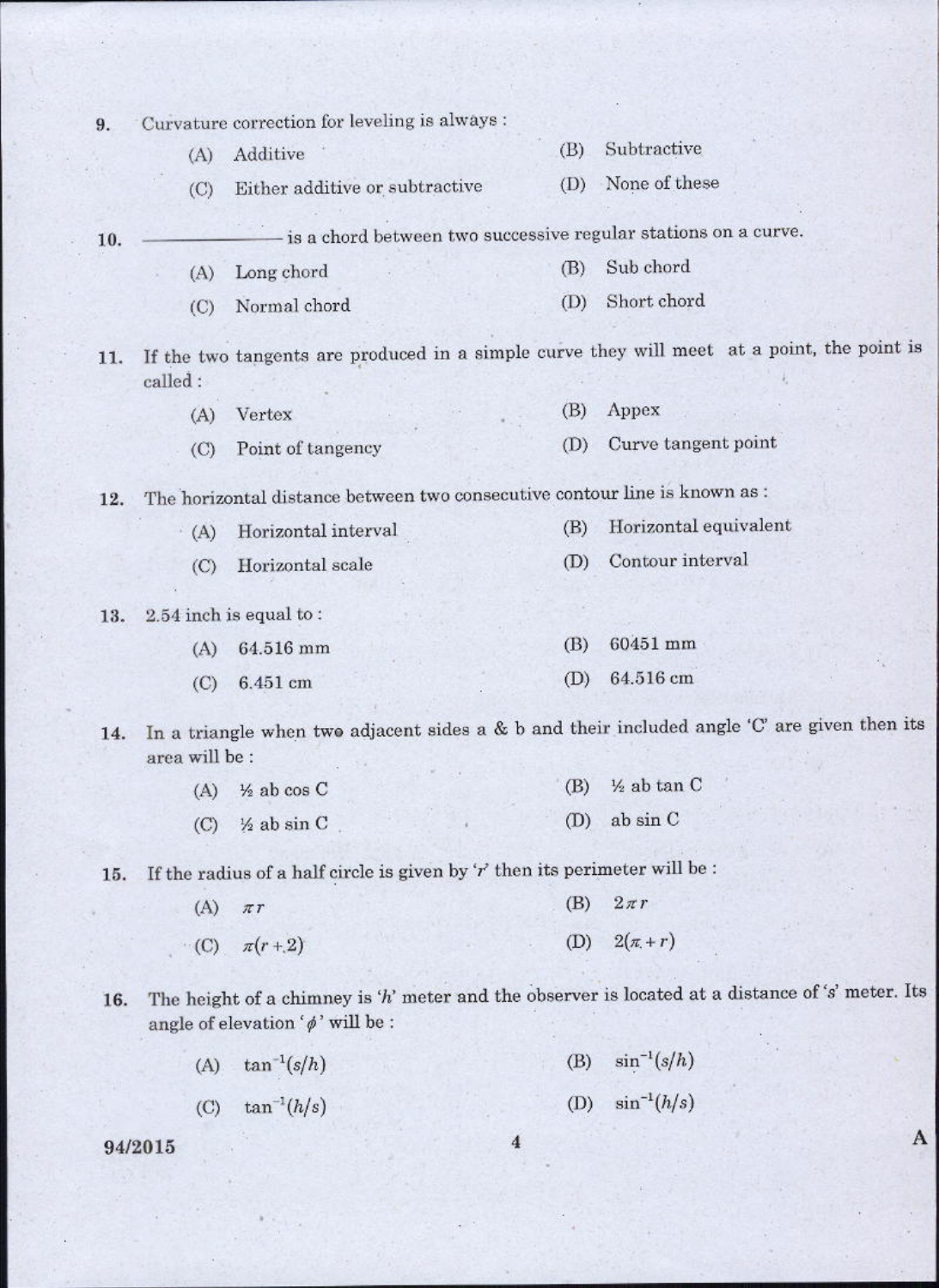| 9.  |                            | Curvature correction for leveling is always :                                |     |     |                                                                                                  |
|-----|----------------------------|------------------------------------------------------------------------------|-----|-----|--------------------------------------------------------------------------------------------------|
|     | (A)                        | Additive                                                                     | (B) |     | Subtractive                                                                                      |
|     | $\left(\mathrm{C}\right)$  | Either additive or subtractive                                               | (D) |     | None of these                                                                                    |
| 10. |                            |                                                                              |     |     | is a chord between two successive regular stations on a curve.                                   |
|     | (A)                        | Long chord                                                                   | (B) |     | Sub chord                                                                                        |
|     | (C)                        | Normal chord                                                                 | (D) |     | Short chord                                                                                      |
| 11. | called:                    |                                                                              |     |     | If the two tangents are produced in a simple curve they will meet at a point, the point is       |
|     | (A)                        | Vertex                                                                       | (B) |     | Appex                                                                                            |
|     | $\left($ C)                | Point of tangency                                                            | (D) |     | Curve tangent point                                                                              |
| 12. |                            | The horizontal distance between two consecutive contour line is known as :   |     |     |                                                                                                  |
|     | (A)                        | Horizontal interval                                                          | (B) |     | Horizontal equivalent                                                                            |
|     | $\left(\circlearrowright)$ | Horizontal scale                                                             | (D) |     | Contour interval                                                                                 |
| 13. |                            | $2.54$ inch is equal to:                                                     |     |     |                                                                                                  |
|     | (A)                        | 64.516 mm                                                                    | (B) |     | 60451 mm                                                                                         |
|     | (C)                        | 6.451 cm                                                                     | (D) |     | 64.516 cm                                                                                        |
| 14. | area will be :             |                                                                              |     |     | In a triangle when two adjacent sides a & b and their included angle 'C' are given then its      |
|     | (A)                        | $\frac{1}{2}$ ab cos C                                                       | (B) |     | 1/2 ab tan C                                                                                     |
|     |                            | $(C)$ / <sub>2</sub> ab sin C                                                |     | (D) | ab sin C                                                                                         |
| 15. |                            | If the radius of a half circle is given by $Y'$ then its perimeter will be : |     |     |                                                                                                  |
|     | (A)                        | $\pi r$                                                                      |     | (B) | $2\pi r$                                                                                         |
|     |                            | (C) $\pi(r+2)$                                                               |     | (D) | $2(\pi + r)$                                                                                     |
| 16. |                            | angle of elevation ' $\phi$ ' will be :                                      |     |     | The height of a chimney is 'h' meter and the observer is located at a distance of 's' meter. Its |
|     | (A)                        | $\tan^{-1}(s/h)$                                                             |     | (B) | $\sin^{-1}(s/h)$                                                                                 |
|     |                            | (C) $\tan^{-1}(h/s)$                                                         |     |     | (D) $\sin^{-1}(h/s)$                                                                             |
|     | 94/2015                    |                                                                              | 4   |     |                                                                                                  |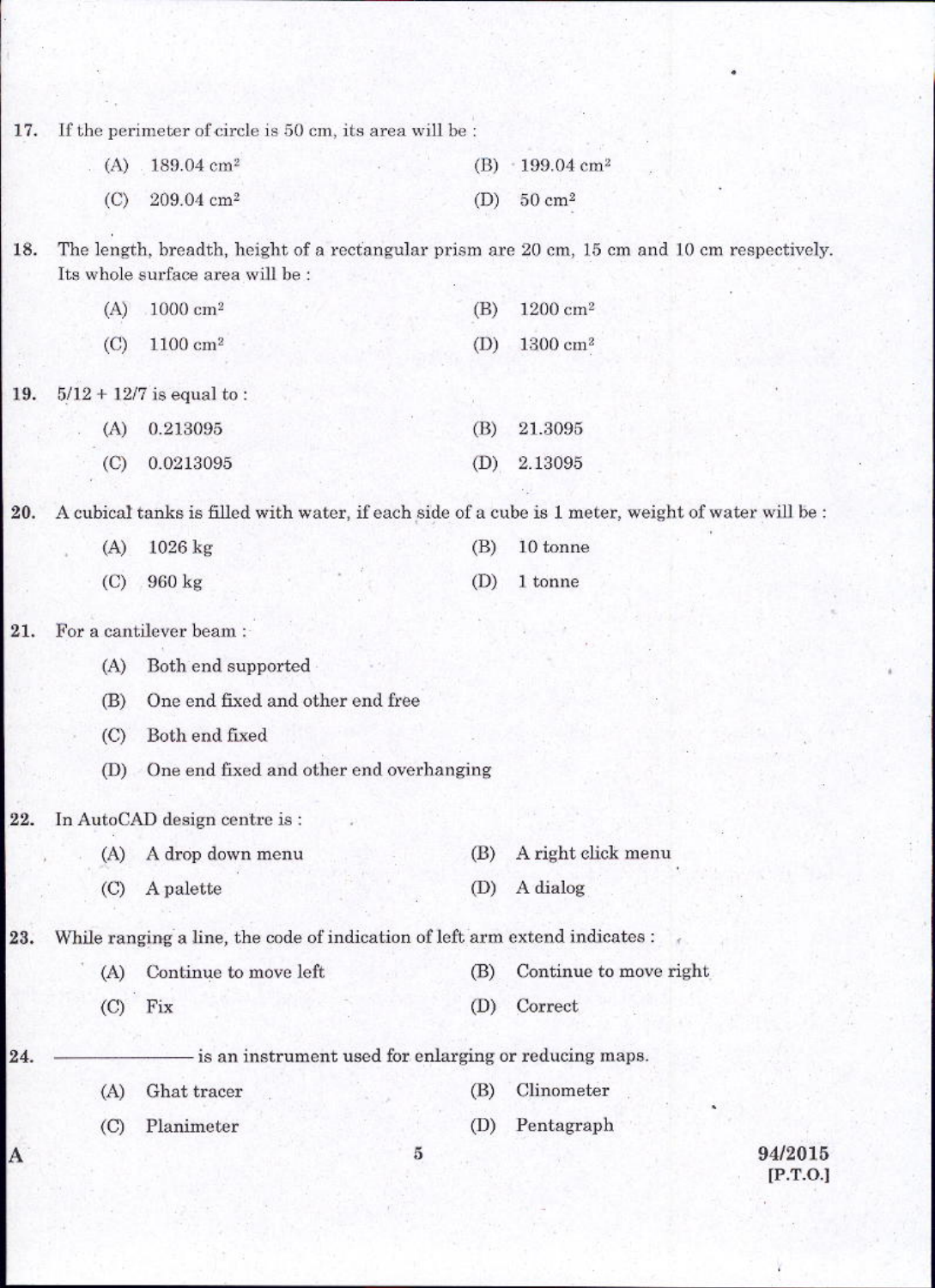17. If the perimeter of circle is 50 cm, its area will be :

| $(A)$ 189.04 cm <sup>2</sup> |  | (B) $\cdot$ 199.04 cm <sup>2</sup> |
|------------------------------|--|------------------------------------|
| (C) $209.04 \text{ cm}^2$    |  | (D) $50 \text{ cm}^2$              |

The length, breadth, height of a rectangular prism are 20 cm, 15 cm and 10 cm respectively. 18. Its whole surface area will be :

| $(A) 1000 \text{ cm}^2$    |  | (B) $1200 \text{ cm}^2$ |
|----------------------------|--|-------------------------|
| $(C)$ 1100 cm <sup>2</sup> |  | (D) $1300 \text{ cm}^2$ |

 $5/12 + 12/7$  is equal to: 19.

| $(A)$ 0.213095  | $(B)$ 21.3095 |
|-----------------|---------------|
| $(C)$ 0.0213095 | $(D)$ 2.13095 |

A cubical tanks is filled with water, if each side of a cube is 1 meter, weight of water will be : 20.

| $(A)$ 1026 kg |  | $(B)$ 10 tonne |
|---------------|--|----------------|
| $(C)$ 960 kg  |  | $(D)$ 1 tonne  |

21. For a cantilever beam:

- Both end supported  $(A)$
- $(B)$ One end fixed and other end free
- (C) Both end fixed
- (D) One end fixed and other end overhanging

In AutoCAD design centre is: 22.

| (A) A drop down menu |  | (B) A right click menu |
|----------------------|--|------------------------|
|                      |  |                        |
| $(C)$ A palette      |  | (D) A dialog           |

23. While ranging a line, the code of indication of left arm extend indicates :

|           | (A) Continue to move left |  | (B) Continue to move right |
|-----------|---------------------------|--|----------------------------|
| $(C)$ Fix |                           |  | (D) Correct                |

- is an instrument used for enlarging or reducing maps. 24.

- $(B)$  $(A)$ Ghat tracer
- $(C)$ Planimeter

A

- Clinometer
- Pentagraph  $(D)$

 $\overline{5}$ 

94/2015  $[P.T.O.]$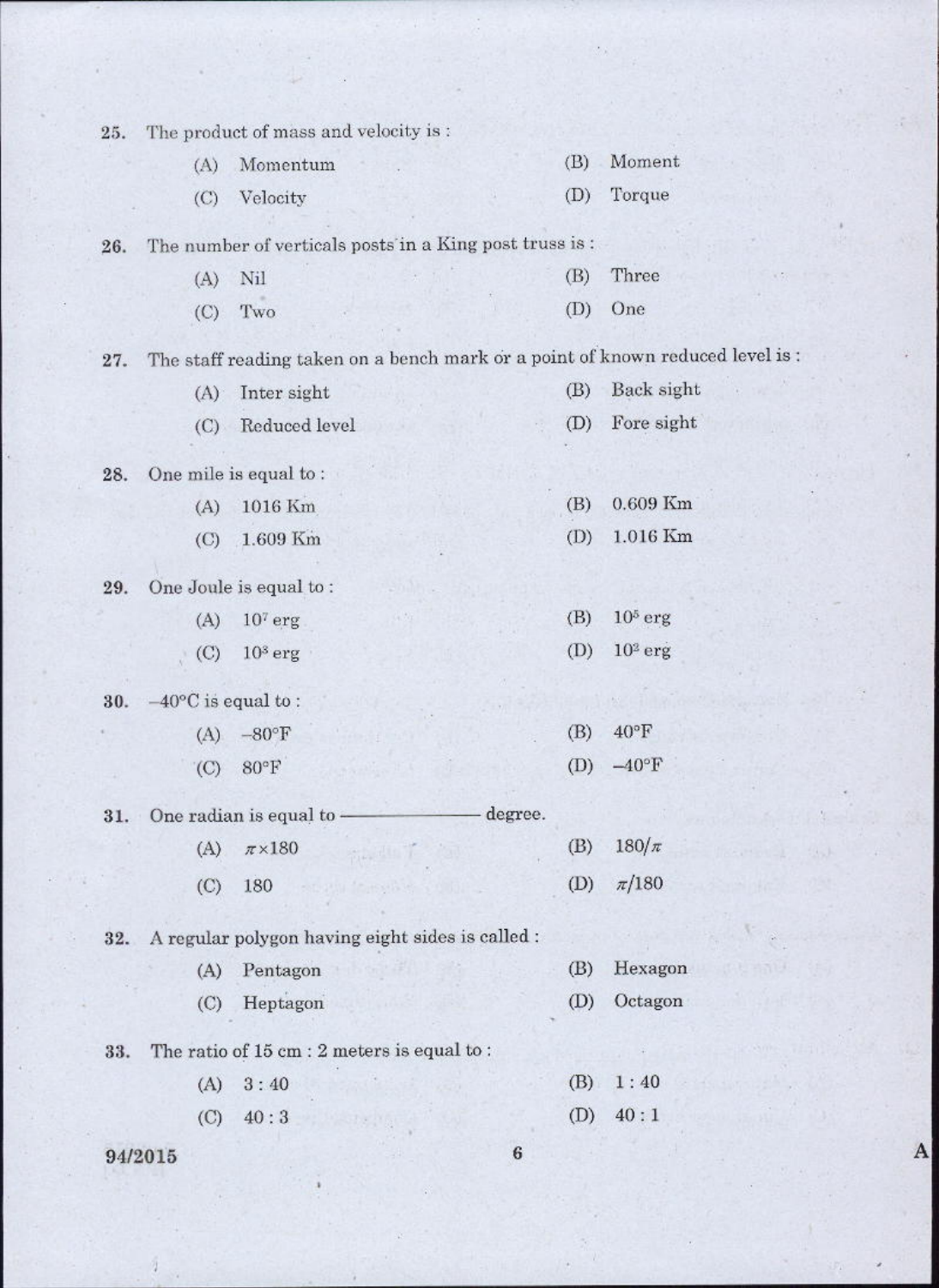| 25. |                              | The product of mass and velocity is:                                           |         |                |
|-----|------------------------------|--------------------------------------------------------------------------------|---------|----------------|
|     | (A)                          | Momentum                                                                       | (B)     | Moment         |
|     | (C)                          | Velocity                                                                       | (D)     | Torque         |
| 26. |                              | The number of verticals posts in a King post truss is :                        |         |                |
|     | (A)                          | Nil                                                                            | (B)     | Three          |
|     | (C)                          | Two                                                                            | (D)     | One            |
| 27. |                              | The staff reading taken on a bench mark or a point of known reduced level is : |         |                |
|     | (A)                          | Inter sight                                                                    | (B)     | Back sight     |
|     | (C)                          | Reduced level                                                                  | (D)     | Fore sight     |
| 28. |                              | One mile is equal to:                                                          |         |                |
|     | (A)                          | 1016 Km                                                                        | (B)     | 0.609 Km       |
|     | $\left($ C)                  | 1.609 Km                                                                       | (D)     | 1.016 Km       |
| 29. |                              | One Joule is equal to:                                                         |         |                |
|     | (A)                          | $107$ erg                                                                      | (B)     | $10^5$ erg     |
|     | (C)                          | $103$ erg                                                                      | (D)     | $102$ erg      |
| 30. | $-40^{\circ}$ C is equal to: |                                                                                |         |                |
|     | (A)                          | $-80^{\circ}$ F                                                                | (B)     | $40^{\circ}$ F |
|     | $\rm (C)$                    | $80°$ F                                                                        | (D)     | $-40$ °F       |
| 31. |                              | One radian is equal to -                                                       | degree. |                |
|     | (A)                          | $\pi\times180$                                                                 | (B)     | $180/\pi$      |
|     | (C)                          | 180                                                                            | (D)     | $\pi/180$      |
| 32. |                              | A regular polygon having eight sides is called :                               |         |                |
|     | (A)                          | Pentagon                                                                       | (B)     | Hexagon        |
|     | (C)                          | Heptagon                                                                       | (D)     | Octagon        |
| 33. |                              | The ratio of 15 cm : 2 meters is equal to :                                    |         |                |
|     | (A)                          | 3:40                                                                           | (B)     | 1:40           |
|     | (C)                          | 40:3                                                                           | (D)     | 40:1           |
|     | 94/2015                      |                                                                                | $\bf 6$ |                |

 $\bf A$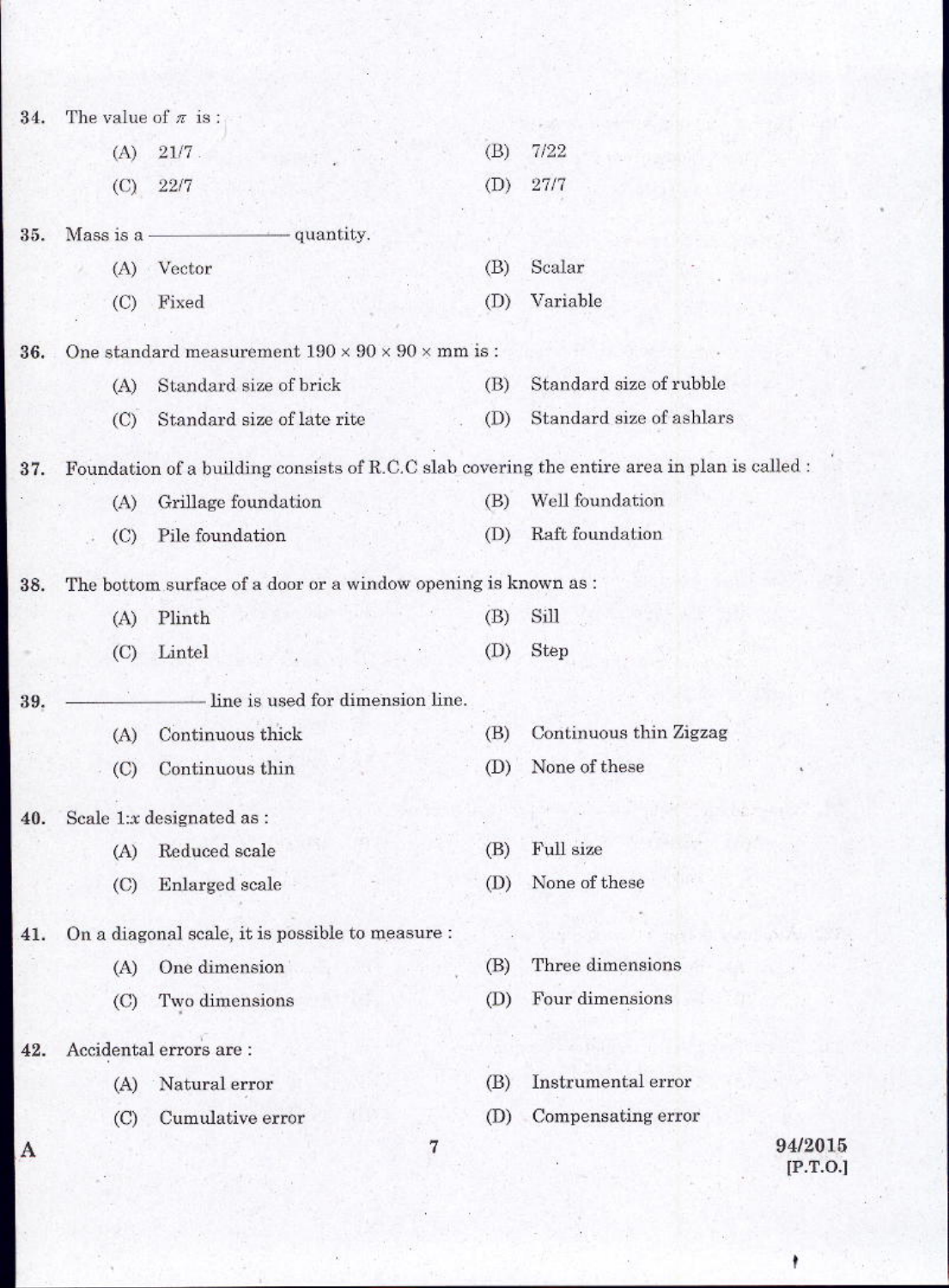| 34. | The value of $\pi$ is: |                                                                  |     |                                                                                              |
|-----|------------------------|------------------------------------------------------------------|-----|----------------------------------------------------------------------------------------------|
|     | (A)                    | $21/7$ .                                                         | (B) | 7/22                                                                                         |
|     | (C)                    | 22/7                                                             | (D) | 27/7                                                                                         |
| 35. | Mass is a -            | - quantity.                                                      |     |                                                                                              |
|     | (A)                    | Vector                                                           | (B) | Scalar                                                                                       |
|     | (C)                    | Fixed                                                            | (D) | Variable                                                                                     |
| 36. |                        | One standard measurement $190 \times 90 \times 90 \times$ mm is: |     |                                                                                              |
|     | (A)                    | Standard size of brick                                           | (B) | Standard size of rubble                                                                      |
|     | (C)                    | Standard size of late rite                                       | (D) | Standard size of ashlars                                                                     |
| 37. |                        |                                                                  |     | Foundation of a building consists of R.C.C slab covering the entire area in plan is called : |
|     | (A)                    | Grillage foundation                                              | (B) | Well foundation                                                                              |
|     | (C)                    | Pile foundation                                                  | (D) | Raft foundation                                                                              |
| 38. |                        | The bottom surface of a door or a window opening is known as :   |     |                                                                                              |
|     | (A)                    | Plinth                                                           | (B) | Sill                                                                                         |
|     | (C)                    | Lintel                                                           | (D) | Step                                                                                         |
| 39. |                        | line is used for dimension line.                                 |     |                                                                                              |
|     | (A)                    | Continuous thick                                                 | (B) | Continuous thin Zigzag                                                                       |
|     | $\rm (C)$              | Continuous thin                                                  | (D) | None of these                                                                                |
| 40. |                        | Scale 1:x designated as :                                        |     |                                                                                              |
|     | (A)                    | Reduced scale                                                    | (B) | Full size                                                                                    |
|     | $\circ$                | Enlarged scale                                                   | (D) | None of these                                                                                |
| 41. |                        | On a diagonal scale, it is possible to measure :                 |     |                                                                                              |
|     | (A)                    | One dimension                                                    | (B) | Three dimensions                                                                             |
|     | $\rm (C)$              | Two dimensions                                                   | (D) | Four dimensions                                                                              |
| 42. |                        | Accidental errors are :                                          |     |                                                                                              |
|     | (A)                    | Natural error                                                    | (B) | Instrumental error                                                                           |
|     | (C)                    | Cumulative error                                                 | (D) | Compensating error                                                                           |
| A   |                        |                                                                  | 7   | 94/2015<br>[P.T.O.]                                                                          |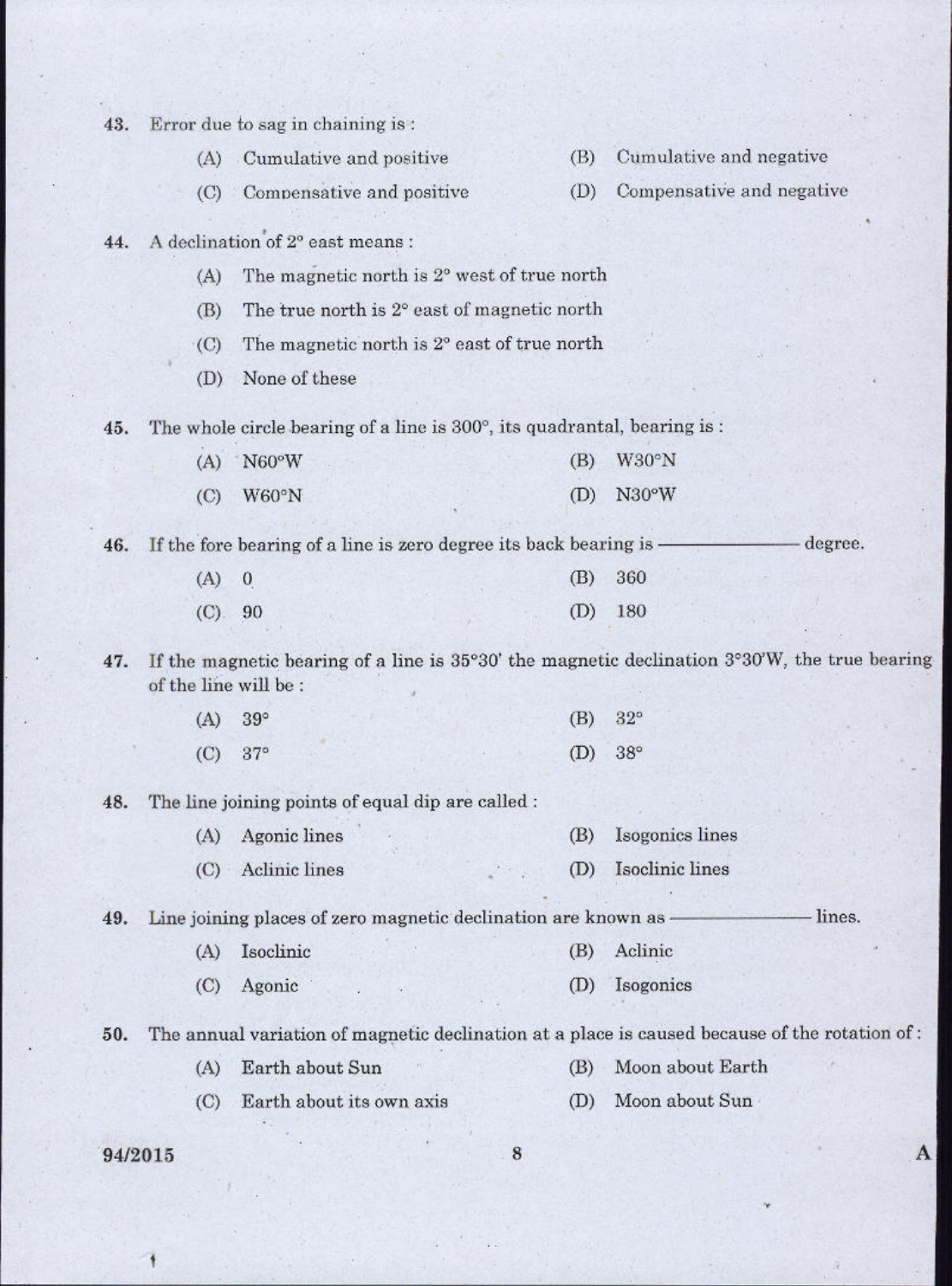| 43. |                       | Error due to sag in chaining is:                                         |     |                                                                                               |
|-----|-----------------------|--------------------------------------------------------------------------|-----|-----------------------------------------------------------------------------------------------|
|     | (A)                   | Cumulative and positive                                                  | (B) | Cumulative and negative                                                                       |
|     | (C)                   | Compensative and positive                                                | (D) | Compensative and negative                                                                     |
| 44. |                       | A declination of 2° east means :                                         |     |                                                                                               |
|     | (A)                   | The magnetic north is 2° west of true north                              |     |                                                                                               |
|     | (B)                   | The true north is 2° east of magnetic north                              |     |                                                                                               |
|     | (C)                   | The magnetic north is 2° east of true north                              |     |                                                                                               |
|     | (D)                   | None of these                                                            |     |                                                                                               |
| 45. |                       | The whole circle bearing of a line is 300°, its quadrantal, bearing is : |     |                                                                                               |
|     | (A)                   | N60°W                                                                    | (B) | W30°N                                                                                         |
|     | $\left($ C)           | W60°N                                                                    | (D) | N30°W                                                                                         |
| 46. |                       | If the fore bearing of a line is zero degree its back bearing is -       |     | degree.                                                                                       |
|     | (A)                   | $\mathbf{0}$                                                             | (B) | 360                                                                                           |
|     | $(C)$ .               | 90                                                                       | (D) | 180                                                                                           |
| 47. | of the line will be : |                                                                          |     | If the magnetic bearing of a line is 35°30' the magnetic declination 3°30'W, the true bearing |
|     | (A)                   | $39^\circ$                                                               | (B) | $32^{\circ}$                                                                                  |
|     | (C)                   | $37^\circ$                                                               | (D) | $38^\circ$                                                                                    |
| 48. |                       | The line joining points of equal dip are called:                         |     |                                                                                               |
|     | (A)                   | Agonic lines                                                             | (B) | Isogonics lines                                                                               |
|     | (C)                   | Aclinic lines                                                            | (D) | Isoclinic lines                                                                               |
| 49. |                       | Line joining places of zero magnetic declination are known as            |     | lines.                                                                                        |
|     | (A)                   | Isoclinic                                                                | (B) | Aclinic                                                                                       |
|     | (C)                   | Agonic                                                                   | (D) | Isogonics                                                                                     |
| 50. |                       |                                                                          |     | The annual variation of magnetic declination at a place is caused because of the rotation of: |
|     | (A)                   | Earth about Sun                                                          | (B) | Moon about Earth                                                                              |
|     |                       |                                                                          | (D) | Moon about Sun                                                                                |
|     | (C)                   | Earth about its own axis                                                 |     |                                                                                               |